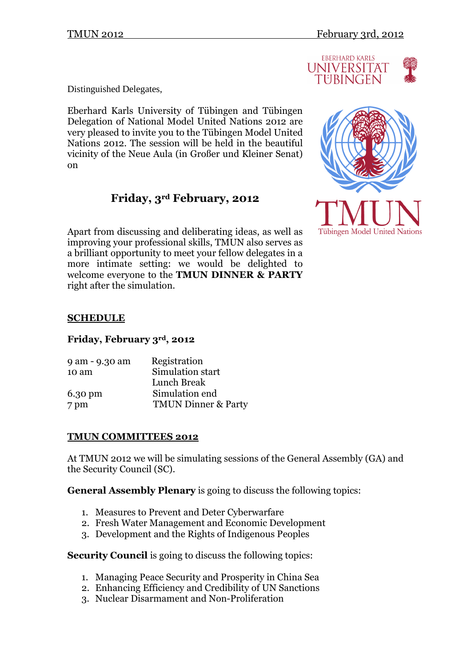

Distinguished Delegates,

Eberhard Karls University of Tübingen and Tübingen Delegation of National Model United Nations 2012 are very pleased to invite you to the Tübingen Model United Nations 2012. The session will be held in the beautiful vicinity of the Neue Aula (in Großer und Kleiner Senat) on

# **Friday, 3rd February, 2012**

Apart from discussing and deliberating ideas, as well as improving your professional skills, TMUN also serves as a brilliant opportunity to meet your fellow delegates in a more intimate setting: we would be delighted to welcome everyone to the **TMUN DINNER & PARTY**  right after the simulation.



# **SCHEDULE**

### **Friday, February 3rd, 2012**

| Registration                   |
|--------------------------------|
| Simulation start               |
| Lunch Break                    |
| Simulation end                 |
| <b>TMUN Dinner &amp; Party</b> |
|                                |

### **TMUN COMMITTEES 2012**

At TMUN 2012 we will be simulating sessions of the General Assembly (GA) and the Security Council (SC).

**General Assembly Plenary** is going to discuss the following topics:

- 1. Measures to Prevent and Deter Cyberwarfare
- 2. Fresh Water Management and Economic Development
- 3. Development and the Rights of Indigenous Peoples

**Security Council** is going to discuss the following topics:

- 1. Managing Peace Security and Prosperity in China Sea
- 2. Enhancing Efficiency and Credibility of UN Sanctions
- 3. Nuclear Disarmament and Non-Proliferation